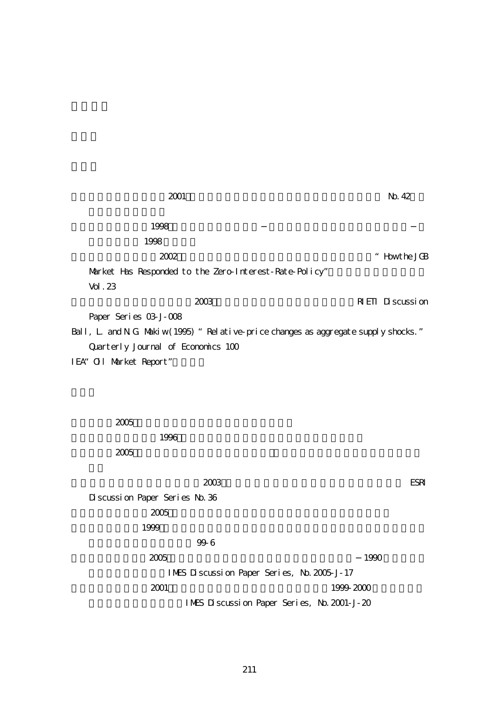| 2001                                                                                | No. 42                              |
|-------------------------------------------------------------------------------------|-------------------------------------|
|                                                                                     |                                     |
| 1998                                                                                |                                     |
| 1998                                                                                |                                     |
| 2002                                                                                | $\ddot{\phantom{0}}$<br>Howt he JGB |
| Market Has Responded to the Zero-Interest-Rate-Policy"                              |                                     |
| Vol. 23                                                                             |                                     |
| 2003                                                                                | <b>REIT</b> Discussion              |
| Paper Series 03-J-008                                                               |                                     |
| Ball, L and N G Makiw (1995) "Rel at ive-price changes as aggregate supply shocks." |                                     |
| Quarterly Journal of Economics 100                                                  |                                     |
| IEA" Ol Market Report"                                                              |                                     |
|                                                                                     |                                     |
|                                                                                     |                                     |
|                                                                                     |                                     |
| 2005                                                                                |                                     |
|                                                                                     |                                     |
| 1996                                                                                |                                     |
| 2005                                                                                |                                     |
|                                                                                     |                                     |
| 2003                                                                                | <b>ESRI</b>                         |
| Discussion Paper Series No. 36                                                      |                                     |
| 2005                                                                                |                                     |
| 1999                                                                                |                                     |
| 996                                                                                 |                                     |
| 2005                                                                                | 1990                                |
| IMES Discussion Paper Series, No. 2005 J-17                                         |                                     |

 $2001$  1999-2000  $1999-2000$ IMES Discussion Paper Series, No. 2001-J-20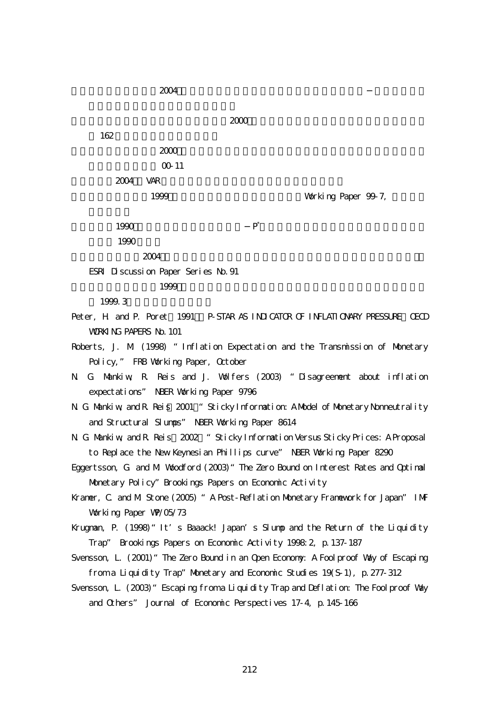$2004$ 

 $\infty$  2000 162  $\blacksquare$  $2000$ 00-11  $2004$  VAR

1999 **Working Paper 99-7,** 

 $1990$  P<sup>\*</sup>

1990

 $2004$ 

ESRI Discussion Paper Series No.91

```
1999
```
1999.3

Peter, H. and P. Poret (1991) P-STAR AS INDICATOR OF INFLATIONARY PRESSURE OECD WORKING PAPERS No. 101

Roberts, J. M. (1998) "Inflation Expectation and the Transmission of Monetary Policy," FRB Working Paper, October

N. G. Mankiw, R. Reis and J. Wolfers (2003) "Disagreement about inflation expectations" NBER Working Paper 9796

N. G. Mankiw, and R. Reis. 2001 "Sticky Information: A Model of Monetary Nonneutrality and Structural Slumps" NBER Working Paper 8614

N. G. Mankiw, and R. Reis<sup>2002</sup> "Sticky Information Versus Sticky Prices: A Proposal to Replace the New Keynesian Phillips curve" NBER Working Paper 8290

Eggertsson, G. and M. Woodford (2003)"The Zero Bound on Interest Rates and Optimal Monetary Policy"Brookings Papers on Economic Activity

Kraner, C. and M. Stone (2005) " A Post-Reflation Monetary Franework for Japan" IMF Working Paper WP/05/73

Krugman, P. (1998) 'It s Baaack! Japan's Slump and the Return of the Liquidity Trap" Brookings Papers on Economic Activity 1998:2, p.137-187

Svensson, L. (2001)"The Zero Bound in an Open Economy: A Foolproof Way of Escaping from a Liquidity Trap" Monetary and Economic Studies 19(S-1), p. 277-312

Svensson, L. (2003) "Escaping from a Liquidity Trap and Deflation: The Foolproof Way and Others" Journal of Economic Perspectives 17-4, p.145-166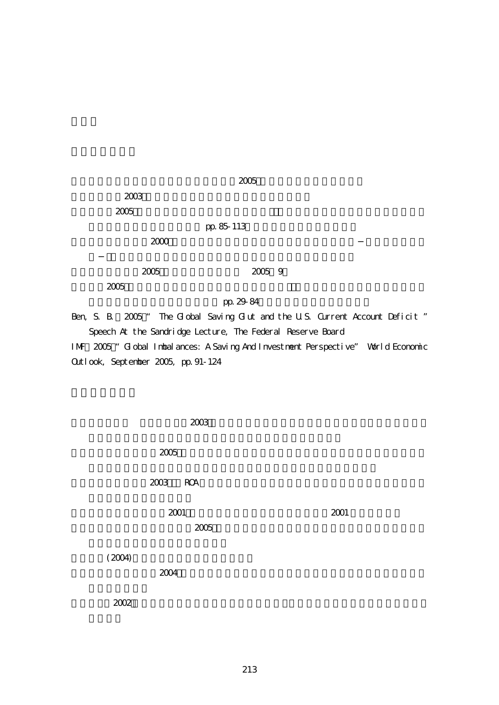| 2003 |            |  |
|------|------------|--|
| 2005 |            |  |
|      | pp. 85-113 |  |
| 2000 |            |  |
|      |            |  |
| 2005 | 2005 9     |  |
| 2005 |            |  |

 $2005$ 

pp. 29-84

Ben, S. B.  $2005$  " The Global Saving Glut and the U.S. Current Account Deficit " Speech At the Sandridge Lecture, The Federal Reserve Board IMF(2005)"Global Imbalances: A Saving And Investment Perspective" World Economic

Outlook, September 2005, pp.91-124